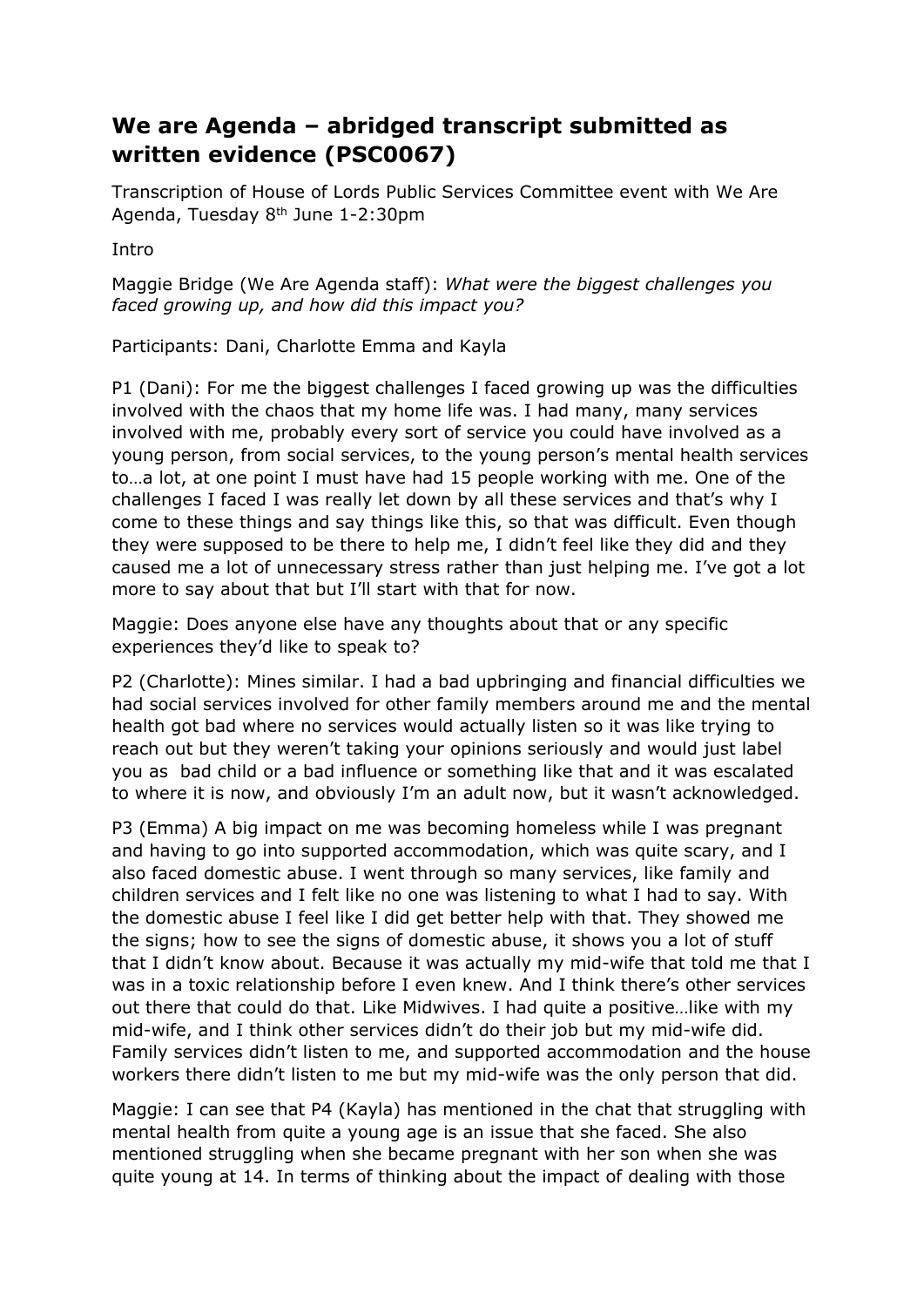## **We are Agenda – abridged transcript submitted as written evidence (PSC0067)**

Transcription of House of Lords Public Services Committee event with We Are Agenda, Tuesday 8th June 1-2:30pm

Intro

Maggie Bridge (We Are Agenda staff): *What were the biggest challenges you faced growing up, and how did this impact you?*

Participants: Dani, Charlotte Emma and Kayla

P1 (Dani): For me the biggest challenges I faced growing up was the difficulties involved with the chaos that my home life was. I had many, many services involved with me, probably every sort of service you could have involved as a young person, from social services, to the young person's mental health services to…a lot, at one point I must have had 15 people working with me. One of the challenges I faced I was really let down by all these services and that's why I come to these things and say things like this, so that was difficult. Even though they were supposed to be there to help me, I didn't feel like they did and they caused me a lot of unnecessary stress rather than just helping me. I've got a lot more to say about that but I'll start with that for now.

Maggie: Does anyone else have any thoughts about that or any specific experiences they'd like to speak to?

P2 (Charlotte): Mines similar. I had a bad upbringing and financial difficulties we had social services involved for other family members around me and the mental health got bad where no services would actually listen so it was like trying to reach out but they weren't taking your opinions seriously and would just label you as bad child or a bad influence or something like that and it was escalated to where it is now, and obviously I'm an adult now, but it wasn't acknowledged.

P3 (Emma) A big impact on me was becoming homeless while I was pregnant and having to go into supported accommodation, which was quite scary, and I also faced domestic abuse. I went through so many services, like family and children services and I felt like no one was listening to what I had to say. With the domestic abuse I feel like I did get better help with that. They showed me the signs; how to see the signs of domestic abuse, it shows you a lot of stuff that I didn't know about. Because it was actually my mid-wife that told me that I was in a toxic relationship before I even knew. And I think there's other services out there that could do that. Like Midwives. I had quite a positive…like with my mid-wife, and I think other services didn't do their job but my mid-wife did. Family services didn't listen to me, and supported accommodation and the house workers there didn't listen to me but my mid-wife was the only person that did.

Maggie: I can see that P4 (Kayla) has mentioned in the chat that struggling with mental health from quite a young age is an issue that she faced. She also mentioned struggling when she became pregnant with her son when she was quite young at 14. In terms of thinking about the impact of dealing with those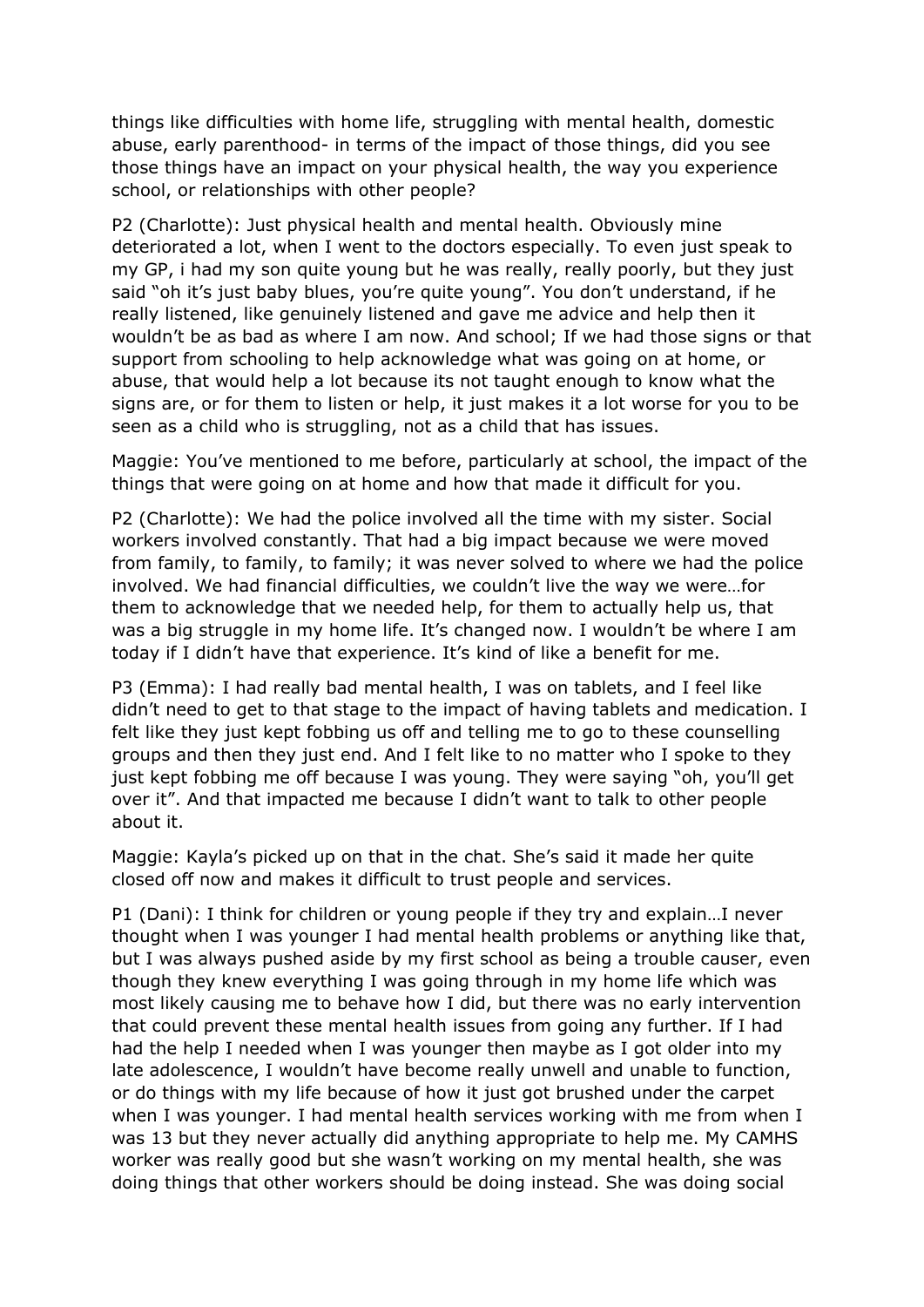things like difficulties with home life, struggling with mental health, domestic abuse, early parenthood- in terms of the impact of those things, did you see those things have an impact on your physical health, the way you experience school, or relationships with other people?

P2 (Charlotte): Just physical health and mental health. Obviously mine deteriorated a lot, when I went to the doctors especially. To even just speak to my GP, i had my son quite young but he was really, really poorly, but they just said "oh it's just baby blues, you're quite young". You don't understand, if he really listened, like genuinely listened and gave me advice and help then it wouldn't be as bad as where I am now. And school; If we had those signs or that support from schooling to help acknowledge what was going on at home, or abuse, that would help a lot because its not taught enough to know what the signs are, or for them to listen or help, it just makes it a lot worse for you to be seen as a child who is struggling, not as a child that has issues.

Maggie: You've mentioned to me before, particularly at school, the impact of the things that were going on at home and how that made it difficult for you.

P2 (Charlotte): We had the police involved all the time with my sister. Social workers involved constantly. That had a big impact because we were moved from family, to family, to family; it was never solved to where we had the police involved. We had financial difficulties, we couldn't live the way we were…for them to acknowledge that we needed help, for them to actually help us, that was a big struggle in my home life. It's changed now. I wouldn't be where I am today if I didn't have that experience. It's kind of like a benefit for me.

P3 (Emma): I had really bad mental health, I was on tablets, and I feel like didn't need to get to that stage to the impact of having tablets and medication. I felt like they just kept fobbing us off and telling me to go to these counselling groups and then they just end. And I felt like to no matter who I spoke to they just kept fobbing me off because I was young. They were saying "oh, you'll get over it". And that impacted me because I didn't want to talk to other people about it.

Maggie: Kayla's picked up on that in the chat. She's said it made her quite closed off now and makes it difficult to trust people and services.

P1 (Dani): I think for children or young people if they try and explain…I never thought when I was younger I had mental health problems or anything like that, but I was always pushed aside by my first school as being a trouble causer, even though they knew everything I was going through in my home life which was most likely causing me to behave how I did, but there was no early intervention that could prevent these mental health issues from going any further. If I had had the help I needed when I was younger then maybe as I got older into my late adolescence, I wouldn't have become really unwell and unable to function, or do things with my life because of how it just got brushed under the carpet when I was younger. I had mental health services working with me from when I was 13 but they never actually did anything appropriate to help me. My CAMHS worker was really good but she wasn't working on my mental health, she was doing things that other workers should be doing instead. She was doing social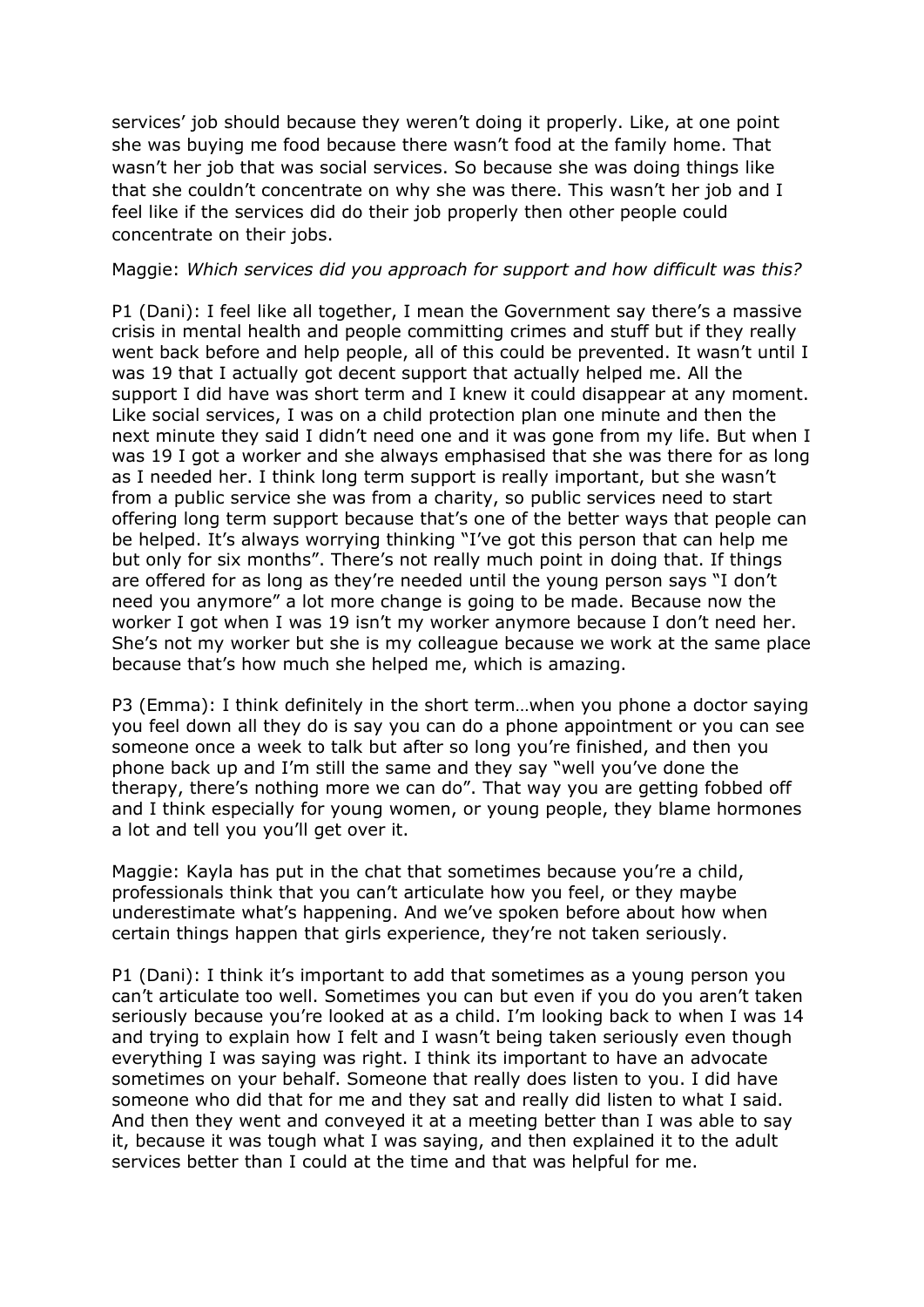services' job should because they weren't doing it properly. Like, at one point she was buying me food because there wasn't food at the family home. That wasn't her job that was social services. So because she was doing things like that she couldn't concentrate on why she was there. This wasn't her job and I feel like if the services did do their job properly then other people could concentrate on their jobs.

## Maggie: *Which services did you approach for support and how difficult was this?*

P1 (Dani): I feel like all together, I mean the Government say there's a massive crisis in mental health and people committing crimes and stuff but if they really went back before and help people, all of this could be prevented. It wasn't until I was 19 that I actually got decent support that actually helped me. All the support I did have was short term and I knew it could disappear at any moment. Like social services, I was on a child protection plan one minute and then the next minute they said I didn't need one and it was gone from my life. But when I was 19 I got a worker and she always emphasised that she was there for as long as I needed her. I think long term support is really important, but she wasn't from a public service she was from a charity, so public services need to start offering long term support because that's one of the better ways that people can be helped. It's always worrying thinking "I've got this person that can help me but only for six months". There's not really much point in doing that. If things are offered for as long as they're needed until the young person says "I don't need you anymore" a lot more change is going to be made. Because now the worker I got when I was 19 isn't my worker anymore because I don't need her. She's not my worker but she is my colleague because we work at the same place because that's how much she helped me, which is amazing.

P3 (Emma): I think definitely in the short term…when you phone a doctor saying you feel down all they do is say you can do a phone appointment or you can see someone once a week to talk but after so long you're finished, and then you phone back up and I'm still the same and they say "well you've done the therapy, there's nothing more we can do". That way you are getting fobbed off and I think especially for young women, or young people, they blame hormones a lot and tell you you'll get over it.

Maggie: Kayla has put in the chat that sometimes because you're a child, professionals think that you can't articulate how you feel, or they maybe underestimate what's happening. And we've spoken before about how when certain things happen that girls experience, they're not taken seriously.

P1 (Dani): I think it's important to add that sometimes as a young person you can't articulate too well. Sometimes you can but even if you do you aren't taken seriously because you're looked at as a child. I'm looking back to when I was 14 and trying to explain how I felt and I wasn't being taken seriously even though everything I was saying was right. I think its important to have an advocate sometimes on your behalf. Someone that really does listen to you. I did have someone who did that for me and they sat and really did listen to what I said. And then they went and conveyed it at a meeting better than I was able to say it, because it was tough what I was saying, and then explained it to the adult services better than I could at the time and that was helpful for me.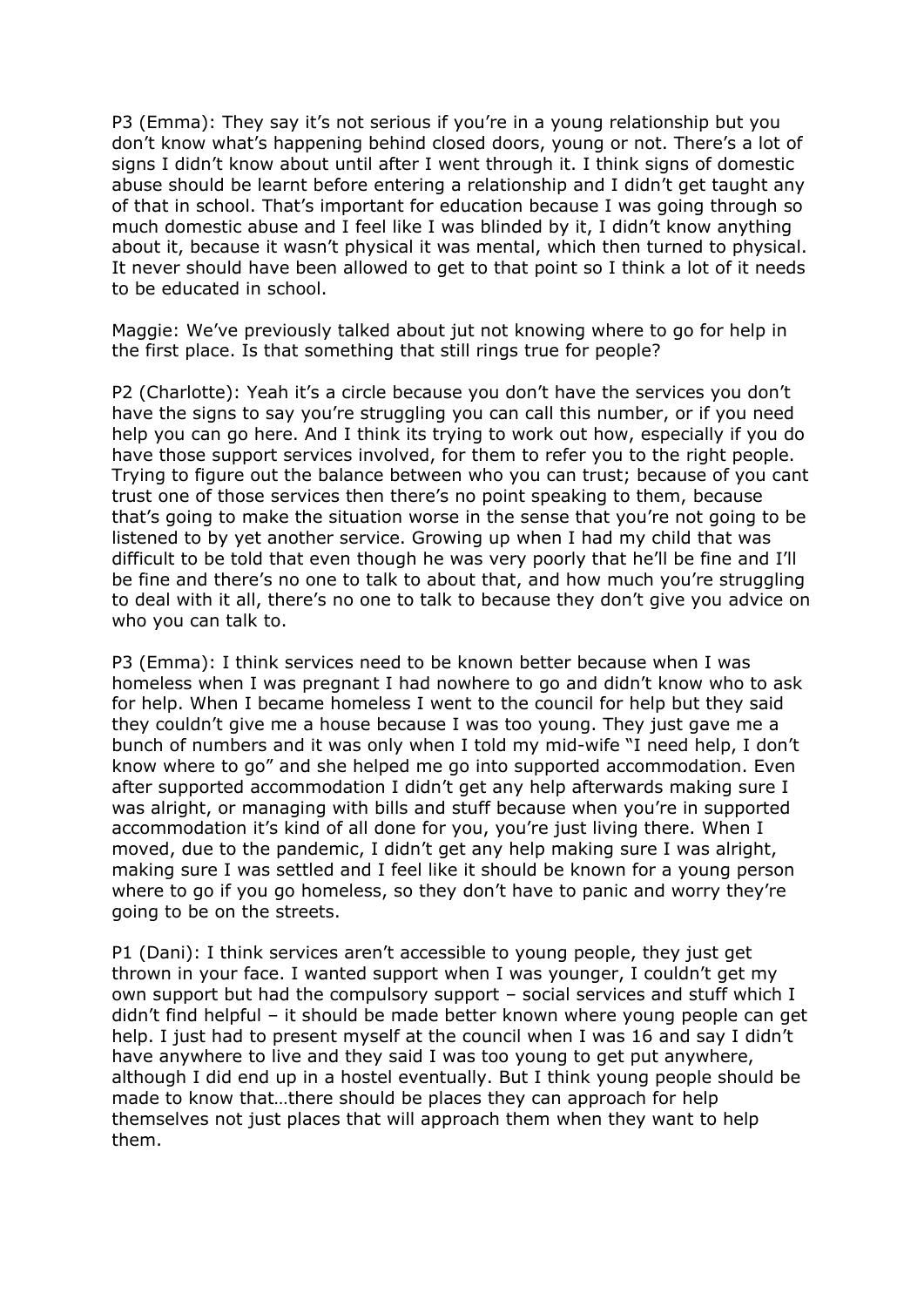P3 (Emma): They say it's not serious if you're in a young relationship but you don't know what's happening behind closed doors, young or not. There's a lot of signs I didn't know about until after I went through it. I think signs of domestic abuse should be learnt before entering a relationship and I didn't get taught any of that in school. That's important for education because I was going through so much domestic abuse and I feel like I was blinded by it, I didn't know anything about it, because it wasn't physical it was mental, which then turned to physical. It never should have been allowed to get to that point so I think a lot of it needs to be educated in school.

Maggie: We've previously talked about jut not knowing where to go for help in the first place. Is that something that still rings true for people?

P2 (Charlotte): Yeah it's a circle because you don't have the services you don't have the signs to say you're struggling you can call this number, or if you need help you can go here. And I think its trying to work out how, especially if you do have those support services involved, for them to refer you to the right people. Trying to figure out the balance between who you can trust; because of you cant trust one of those services then there's no point speaking to them, because that's going to make the situation worse in the sense that you're not going to be listened to by yet another service. Growing up when I had my child that was difficult to be told that even though he was very poorly that he'll be fine and I'll be fine and there's no one to talk to about that, and how much you're struggling to deal with it all, there's no one to talk to because they don't give you advice on who you can talk to.

P3 (Emma): I think services need to be known better because when I was homeless when I was pregnant I had nowhere to go and didn't know who to ask for help. When I became homeless I went to the council for help but they said they couldn't give me a house because I was too young. They just gave me a bunch of numbers and it was only when I told my mid-wife "I need help, I don't know where to go" and she helped me go into supported accommodation. Even after supported accommodation I didn't get any help afterwards making sure I was alright, or managing with bills and stuff because when you're in supported accommodation it's kind of all done for you, you're just living there. When I moved, due to the pandemic, I didn't get any help making sure I was alright, making sure I was settled and I feel like it should be known for a young person where to go if you go homeless, so they don't have to panic and worry they're going to be on the streets.

P1 (Dani): I think services aren't accessible to young people, they just get thrown in your face. I wanted support when I was younger, I couldn't get my own support but had the compulsory support – social services and stuff which I didn't find helpful – it should be made better known where young people can get help. I just had to present myself at the council when I was 16 and say I didn't have anywhere to live and they said I was too young to get put anywhere, although I did end up in a hostel eventually. But I think young people should be made to know that…there should be places they can approach for help themselves not just places that will approach them when they want to help them.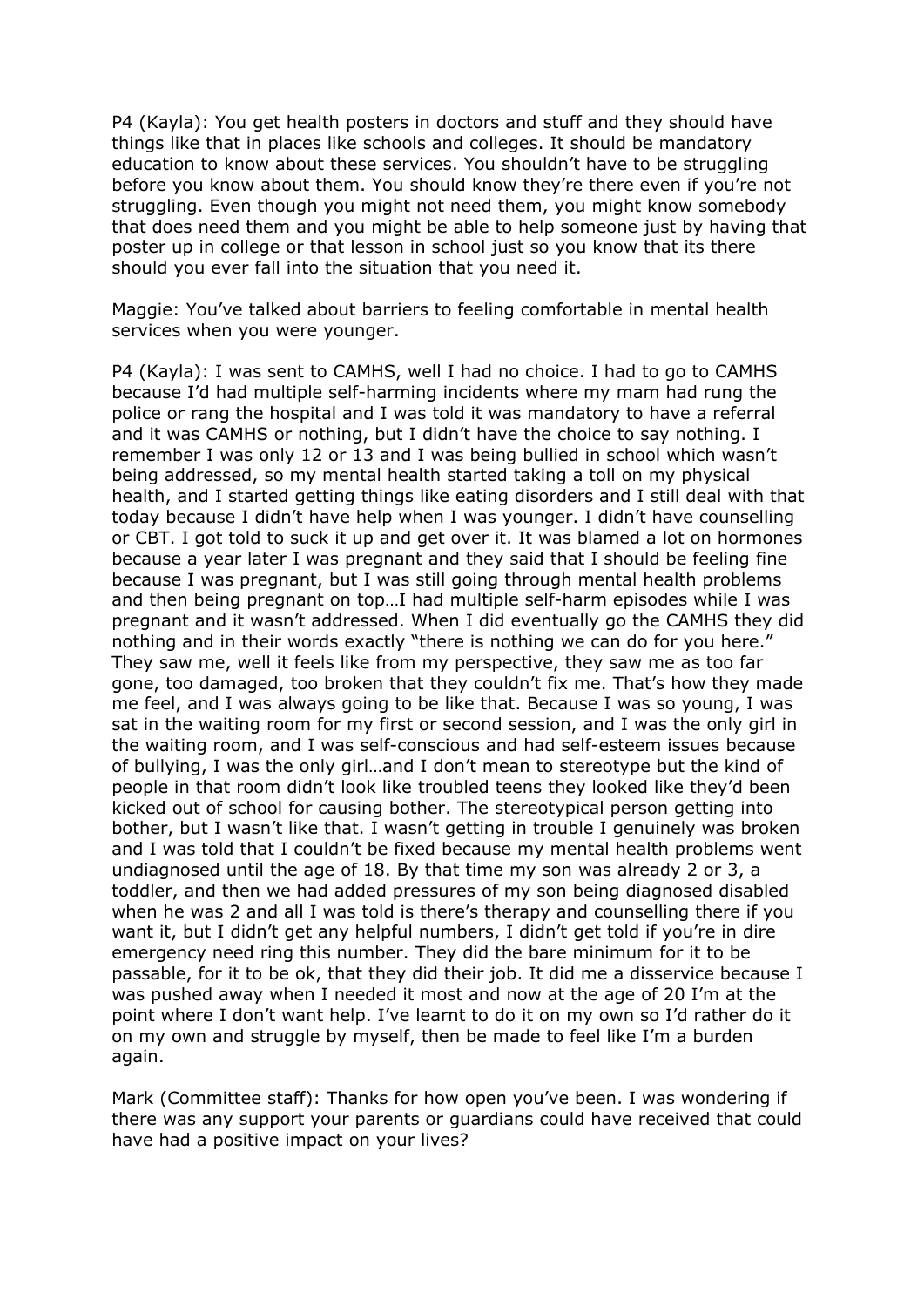P4 (Kayla): You get health posters in doctors and stuff and they should have things like that in places like schools and colleges. It should be mandatory education to know about these services. You shouldn't have to be struggling before you know about them. You should know they're there even if you're not struggling. Even though you might not need them, you might know somebody that does need them and you might be able to help someone just by having that poster up in college or that lesson in school just so you know that its there should you ever fall into the situation that you need it.

Maggie: You've talked about barriers to feeling comfortable in mental health services when you were younger.

P4 (Kayla): I was sent to CAMHS, well I had no choice. I had to go to CAMHS because I'd had multiple self-harming incidents where my mam had rung the police or rang the hospital and I was told it was mandatory to have a referral and it was CAMHS or nothing, but I didn't have the choice to say nothing. I remember I was only 12 or 13 and I was being bullied in school which wasn't being addressed, so my mental health started taking a toll on my physical health, and I started getting things like eating disorders and I still deal with that today because I didn't have help when I was younger. I didn't have counselling or CBT. I got told to suck it up and get over it. It was blamed a lot on hormones because a year later I was pregnant and they said that I should be feeling fine because I was pregnant, but I was still going through mental health problems and then being pregnant on top…I had multiple self-harm episodes while I was pregnant and it wasn't addressed. When I did eventually go the CAMHS they did nothing and in their words exactly "there is nothing we can do for you here." They saw me, well it feels like from my perspective, they saw me as too far gone, too damaged, too broken that they couldn't fix me. That's how they made me feel, and I was always going to be like that. Because I was so young, I was sat in the waiting room for my first or second session, and I was the only girl in the waiting room, and I was self-conscious and had self-esteem issues because of bullying, I was the only girl…and I don't mean to stereotype but the kind of people in that room didn't look like troubled teens they looked like they'd been kicked out of school for causing bother. The stereotypical person getting into bother, but I wasn't like that. I wasn't getting in trouble I genuinely was broken and I was told that I couldn't be fixed because my mental health problems went undiagnosed until the age of 18. By that time my son was already 2 or 3, a toddler, and then we had added pressures of my son being diagnosed disabled when he was 2 and all I was told is there's therapy and counselling there if you want it, but I didn't get any helpful numbers, I didn't get told if you're in dire emergency need ring this number. They did the bare minimum for it to be passable, for it to be ok, that they did their job. It did me a disservice because I was pushed away when I needed it most and now at the age of 20 I'm at the point where I don't want help. I've learnt to do it on my own so I'd rather do it on my own and struggle by myself, then be made to feel like I'm a burden again.

Mark (Committee staff): Thanks for how open you've been. I was wondering if there was any support your parents or guardians could have received that could have had a positive impact on your lives?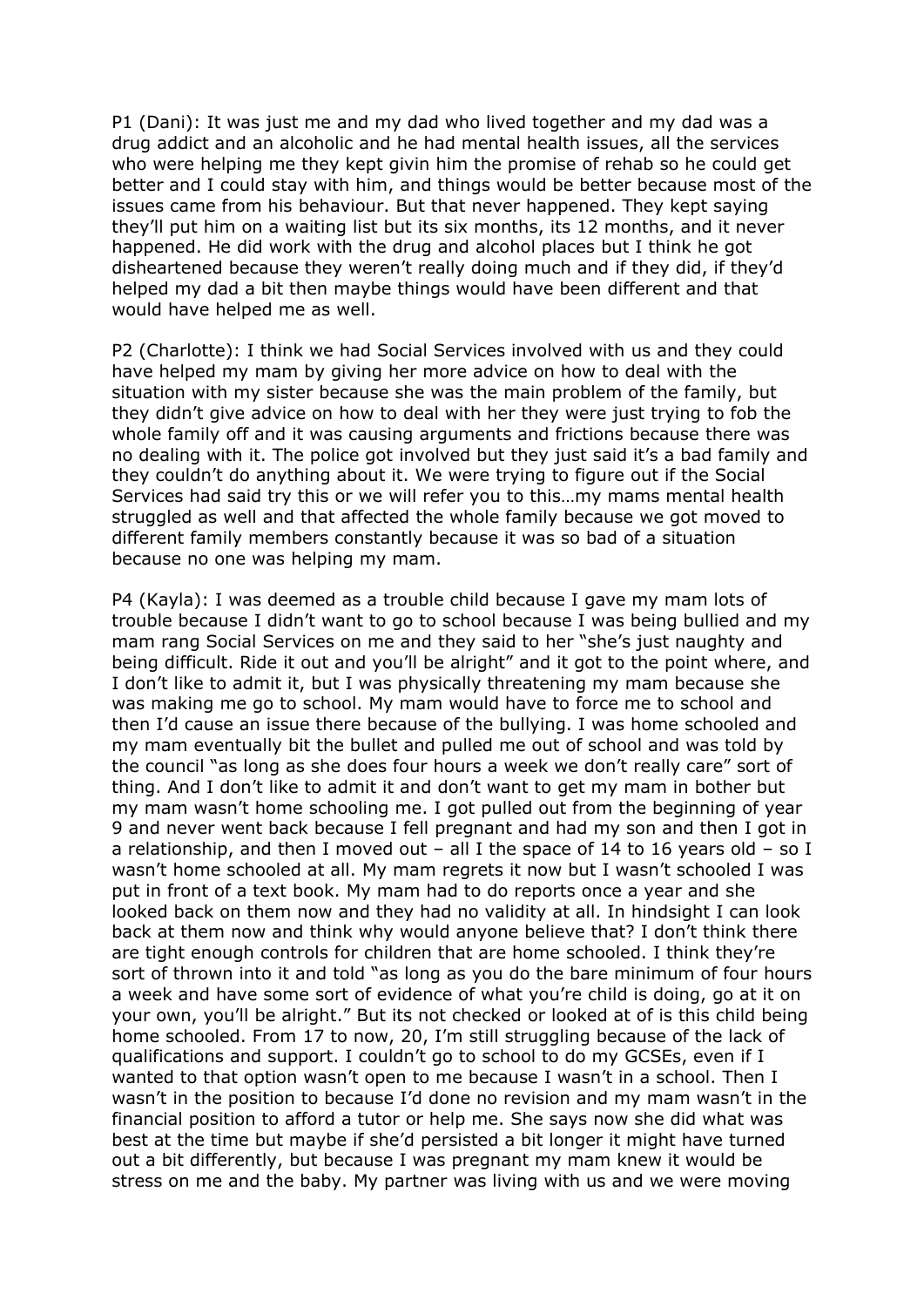P1 (Dani): It was just me and my dad who lived together and my dad was a drug addict and an alcoholic and he had mental health issues, all the services who were helping me they kept givin him the promise of rehab so he could get better and I could stay with him, and things would be better because most of the issues came from his behaviour. But that never happened. They kept saying they'll put him on a waiting list but its six months, its 12 months, and it never happened. He did work with the drug and alcohol places but I think he got disheartened because they weren't really doing much and if they did, if they'd helped my dad a bit then maybe things would have been different and that would have helped me as well.

P2 (Charlotte): I think we had Social Services involved with us and they could have helped my mam by giving her more advice on how to deal with the situation with my sister because she was the main problem of the family, but they didn't give advice on how to deal with her they were just trying to fob the whole family off and it was causing arguments and frictions because there was no dealing with it. The police got involved but they just said it's a bad family and they couldn't do anything about it. We were trying to figure out if the Social Services had said try this or we will refer you to this…my mams mental health struggled as well and that affected the whole family because we got moved to different family members constantly because it was so bad of a situation because no one was helping my mam.

P4 (Kayla): I was deemed as a trouble child because I gave my mam lots of trouble because I didn't want to go to school because I was being bullied and my mam rang Social Services on me and they said to her "she's just naughty and being difficult. Ride it out and you'll be alright" and it got to the point where, and I don't like to admit it, but I was physically threatening my mam because she was making me go to school. My mam would have to force me to school and then I'd cause an issue there because of the bullying. I was home schooled and my mam eventually bit the bullet and pulled me out of school and was told by the council "as long as she does four hours a week we don't really care" sort of thing. And I don't like to admit it and don't want to get my mam in bother but my mam wasn't home schooling me. I got pulled out from the beginning of year 9 and never went back because I fell pregnant and had my son and then I got in a relationship, and then I moved out – all I the space of 14 to 16 years old – so I wasn't home schooled at all. My mam regrets it now but I wasn't schooled I was put in front of a text book. My mam had to do reports once a year and she looked back on them now and they had no validity at all. In hindsight I can look back at them now and think why would anyone believe that? I don't think there are tight enough controls for children that are home schooled. I think they're sort of thrown into it and told "as long as you do the bare minimum of four hours a week and have some sort of evidence of what you're child is doing, go at it on your own, you'll be alright." But its not checked or looked at of is this child being home schooled. From 17 to now, 20, I'm still struggling because of the lack of qualifications and support. I couldn't go to school to do my GCSEs, even if I wanted to that option wasn't open to me because I wasn't in a school. Then I wasn't in the position to because I'd done no revision and my mam wasn't in the financial position to afford a tutor or help me. She says now she did what was best at the time but maybe if she'd persisted a bit longer it might have turned out a bit differently, but because I was pregnant my mam knew it would be stress on me and the baby. My partner was living with us and we were moving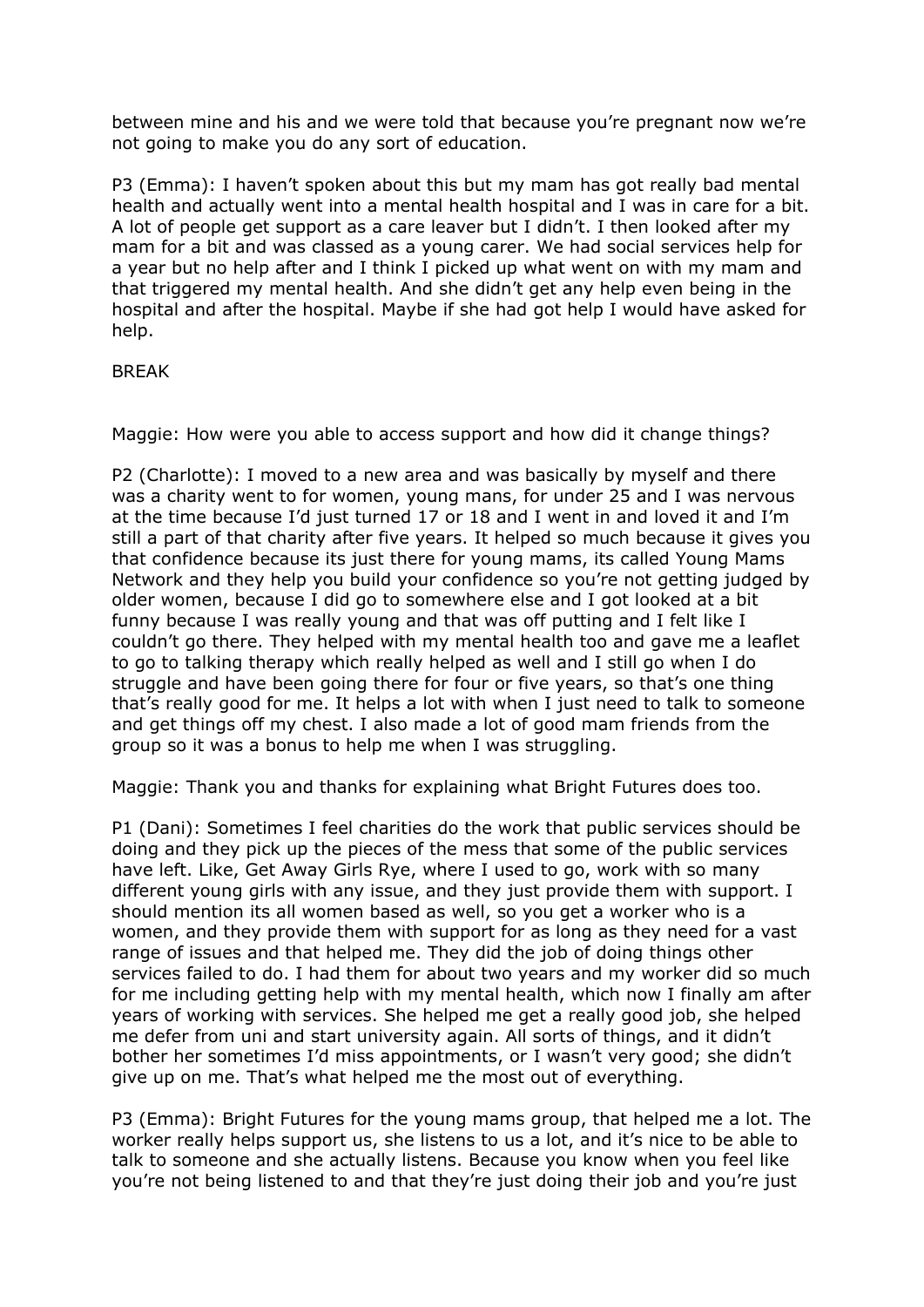between mine and his and we were told that because you're pregnant now we're not going to make you do any sort of education.

P3 (Emma): I haven't spoken about this but my mam has got really bad mental health and actually went into a mental health hospital and I was in care for a bit. A lot of people get support as a care leaver but I didn't. I then looked after my mam for a bit and was classed as a young carer. We had social services help for a year but no help after and I think I picked up what went on with my mam and that triggered my mental health. And she didn't get any help even being in the hospital and after the hospital. Maybe if she had got help I would have asked for help.

## **BRFAK**

Maggie: How were you able to access support and how did it change things?

P2 (Charlotte): I moved to a new area and was basically by myself and there was a charity went to for women, young mans, for under 25 and I was nervous at the time because I'd just turned 17 or 18 and I went in and loved it and I'm still a part of that charity after five years. It helped so much because it gives you that confidence because its just there for young mams, its called Young Mams Network and they help you build your confidence so you're not getting judged by older women, because I did go to somewhere else and I got looked at a bit funny because I was really young and that was off putting and I felt like I couldn't go there. They helped with my mental health too and gave me a leaflet to go to talking therapy which really helped as well and I still go when I do struggle and have been going there for four or five years, so that's one thing that's really good for me. It helps a lot with when I just need to talk to someone and get things off my chest. I also made a lot of good mam friends from the group so it was a bonus to help me when I was struggling.

Maggie: Thank you and thanks for explaining what Bright Futures does too.

P1 (Dani): Sometimes I feel charities do the work that public services should be doing and they pick up the pieces of the mess that some of the public services have left. Like, Get Away Girls Rye, where I used to go, work with so many different young girls with any issue, and they just provide them with support. I should mention its all women based as well, so you get a worker who is a women, and they provide them with support for as long as they need for a vast range of issues and that helped me. They did the job of doing things other services failed to do. I had them for about two years and my worker did so much for me including getting help with my mental health, which now I finally am after years of working with services. She helped me get a really good job, she helped me defer from uni and start university again. All sorts of things, and it didn't bother her sometimes I'd miss appointments, or I wasn't very good; she didn't give up on me. That's what helped me the most out of everything.

P3 (Emma): Bright Futures for the young mams group, that helped me a lot. The worker really helps support us, she listens to us a lot, and it's nice to be able to talk to someone and she actually listens. Because you know when you feel like you're not being listened to and that they're just doing their job and you're just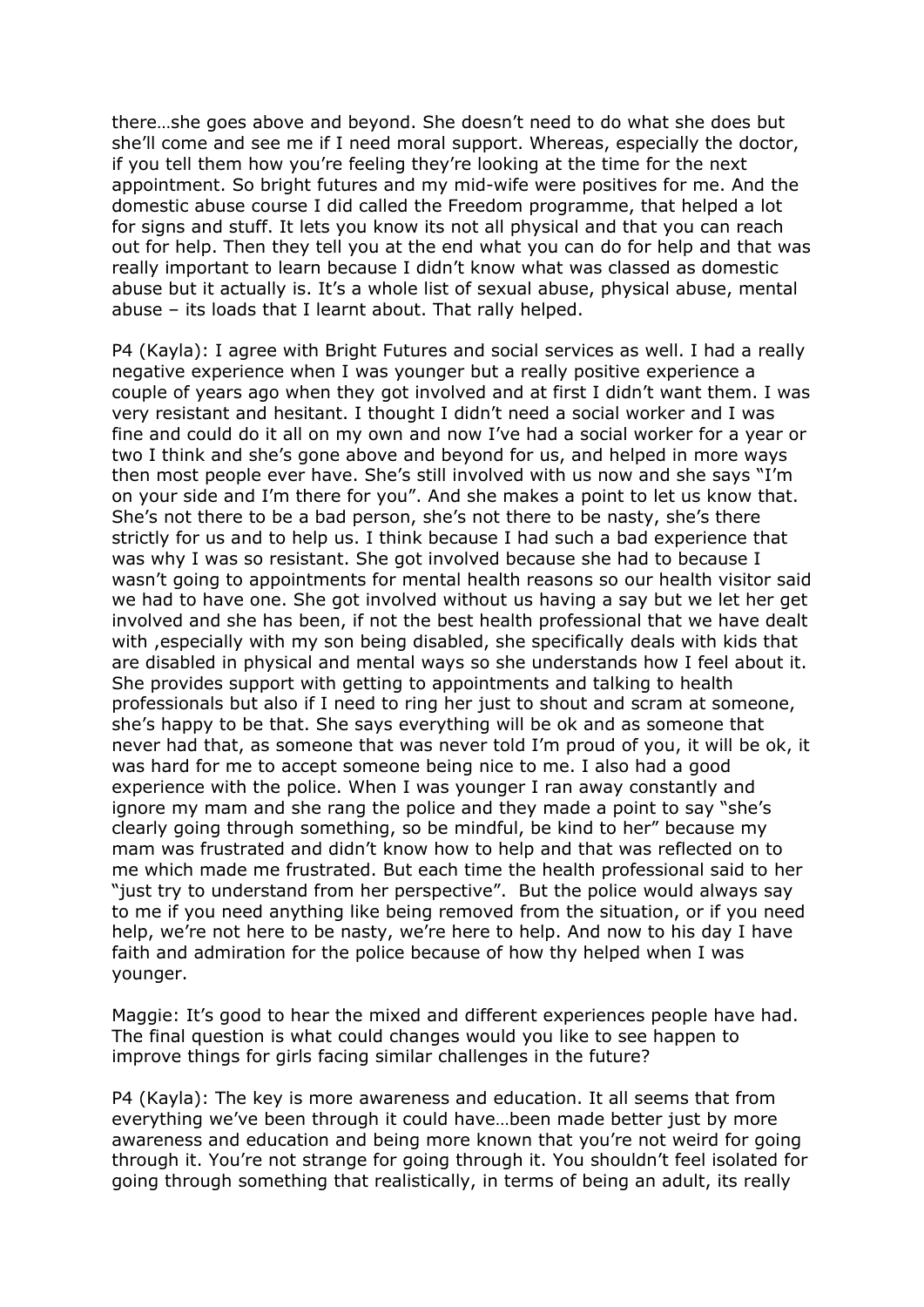there…she goes above and beyond. She doesn't need to do what she does but she'll come and see me if I need moral support. Whereas, especially the doctor, if you tell them how you're feeling they're looking at the time for the next appointment. So bright futures and my mid-wife were positives for me. And the domestic abuse course I did called the Freedom programme, that helped a lot for signs and stuff. It lets you know its not all physical and that you can reach out for help. Then they tell you at the end what you can do for help and that was really important to learn because I didn't know what was classed as domestic abuse but it actually is. It's a whole list of sexual abuse, physical abuse, mental abuse – its loads that I learnt about. That rally helped.

P4 (Kayla): I agree with Bright Futures and social services as well. I had a really negative experience when I was younger but a really positive experience a couple of years ago when they got involved and at first I didn't want them. I was very resistant and hesitant. I thought I didn't need a social worker and I was fine and could do it all on my own and now I've had a social worker for a year or two I think and she's gone above and beyond for us, and helped in more ways then most people ever have. She's still involved with us now and she says "I'm on your side and I'm there for you". And she makes a point to let us know that. She's not there to be a bad person, she's not there to be nasty, she's there strictly for us and to help us. I think because I had such a bad experience that was why I was so resistant. She got involved because she had to because I wasn't going to appointments for mental health reasons so our health visitor said we had to have one. She got involved without us having a say but we let her get involved and she has been, if not the best health professional that we have dealt with ,especially with my son being disabled, she specifically deals with kids that are disabled in physical and mental ways so she understands how I feel about it. She provides support with getting to appointments and talking to health professionals but also if I need to ring her just to shout and scram at someone, she's happy to be that. She says everything will be ok and as someone that never had that, as someone that was never told I'm proud of you, it will be ok, it was hard for me to accept someone being nice to me. I also had a good experience with the police. When I was younger I ran away constantly and ignore my mam and she rang the police and they made a point to say "she's clearly going through something, so be mindful, be kind to her" because my mam was frustrated and didn't know how to help and that was reflected on to me which made me frustrated. But each time the health professional said to her "just try to understand from her perspective". But the police would always say to me if you need anything like being removed from the situation, or if you need help, we're not here to be nasty, we're here to help. And now to his day I have faith and admiration for the police because of how thy helped when I was younger.

Maggie: It's good to hear the mixed and different experiences people have had. The final question is what could changes would you like to see happen to improve things for girls facing similar challenges in the future?

P4 (Kayla): The key is more awareness and education. It all seems that from everything we've been through it could have…been made better just by more awareness and education and being more known that you're not weird for going through it. You're not strange for going through it. You shouldn't feel isolated for going through something that realistically, in terms of being an adult, its really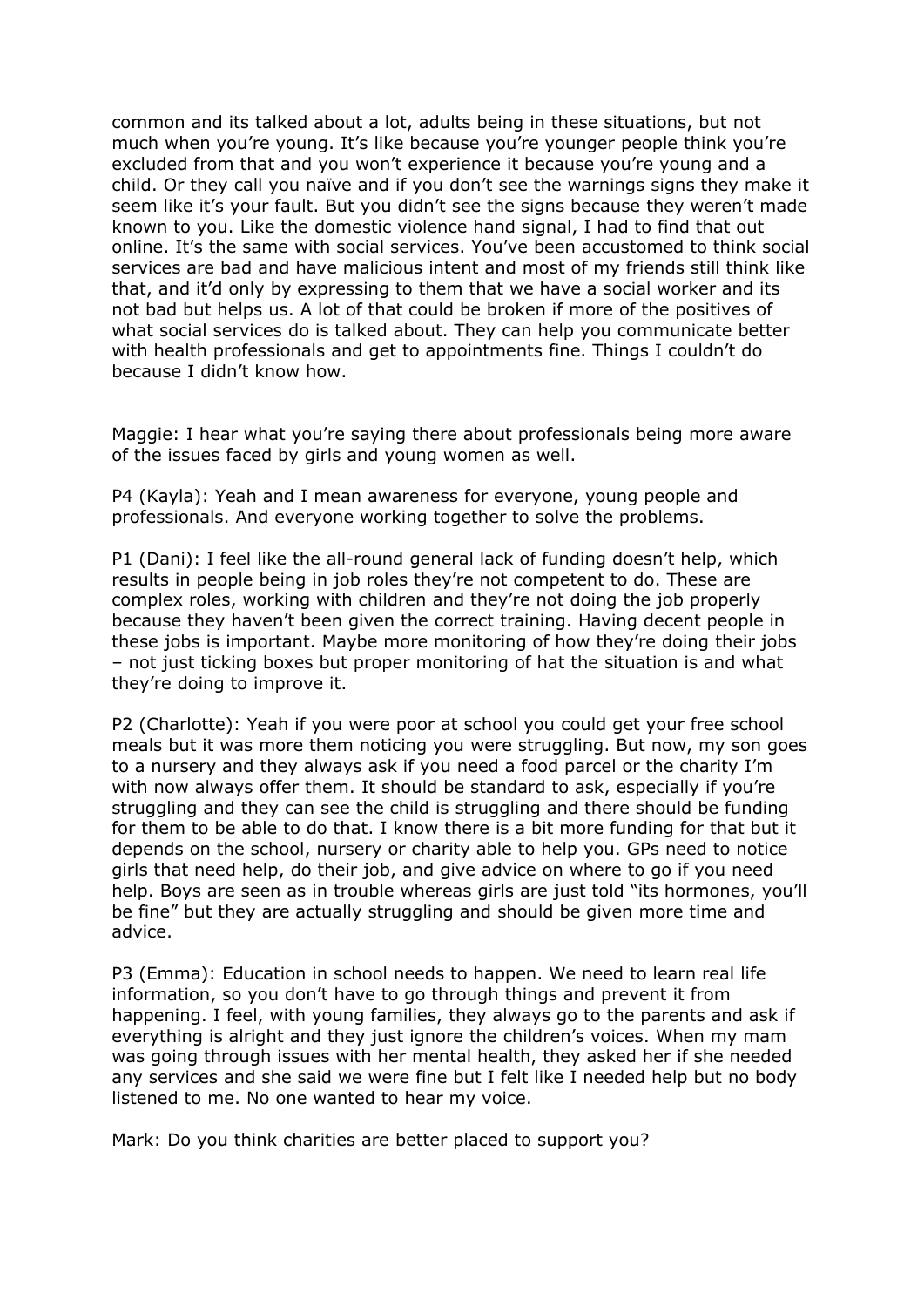common and its talked about a lot, adults being in these situations, but not much when you're young. It's like because you're younger people think you're excluded from that and you won't experience it because you're young and a child. Or they call you naïve and if you don't see the warnings signs they make it seem like it's your fault. But you didn't see the signs because they weren't made known to you. Like the domestic violence hand signal, I had to find that out online. It's the same with social services. You've been accustomed to think social services are bad and have malicious intent and most of my friends still think like that, and it'd only by expressing to them that we have a social worker and its not bad but helps us. A lot of that could be broken if more of the positives of what social services do is talked about. They can help you communicate better with health professionals and get to appointments fine. Things I couldn't do because I didn't know how.

Maggie: I hear what you're saying there about professionals being more aware of the issues faced by girls and young women as well.

P4 (Kayla): Yeah and I mean awareness for everyone, young people and professionals. And everyone working together to solve the problems.

P1 (Dani): I feel like the all-round general lack of funding doesn't help, which results in people being in job roles they're not competent to do. These are complex roles, working with children and they're not doing the job properly because they haven't been given the correct training. Having decent people in these jobs is important. Maybe more monitoring of how they're doing their jobs – not just ticking boxes but proper monitoring of hat the situation is and what they're doing to improve it.

P2 (Charlotte): Yeah if you were poor at school you could get your free school meals but it was more them noticing you were struggling. But now, my son goes to a nursery and they always ask if you need a food parcel or the charity I'm with now always offer them. It should be standard to ask, especially if you're struggling and they can see the child is struggling and there should be funding for them to be able to do that. I know there is a bit more funding for that but it depends on the school, nursery or charity able to help you. GPs need to notice girls that need help, do their job, and give advice on where to go if you need help. Boys are seen as in trouble whereas girls are just told "its hormones, you'll be fine" but they are actually struggling and should be given more time and advice.

P3 (Emma): Education in school needs to happen. We need to learn real life information, so you don't have to go through things and prevent it from happening. I feel, with young families, they always go to the parents and ask if everything is alright and they just ignore the children's voices. When my mam was going through issues with her mental health, they asked her if she needed any services and she said we were fine but I felt like I needed help but no body listened to me. No one wanted to hear my voice.

Mark: Do you think charities are better placed to support you?